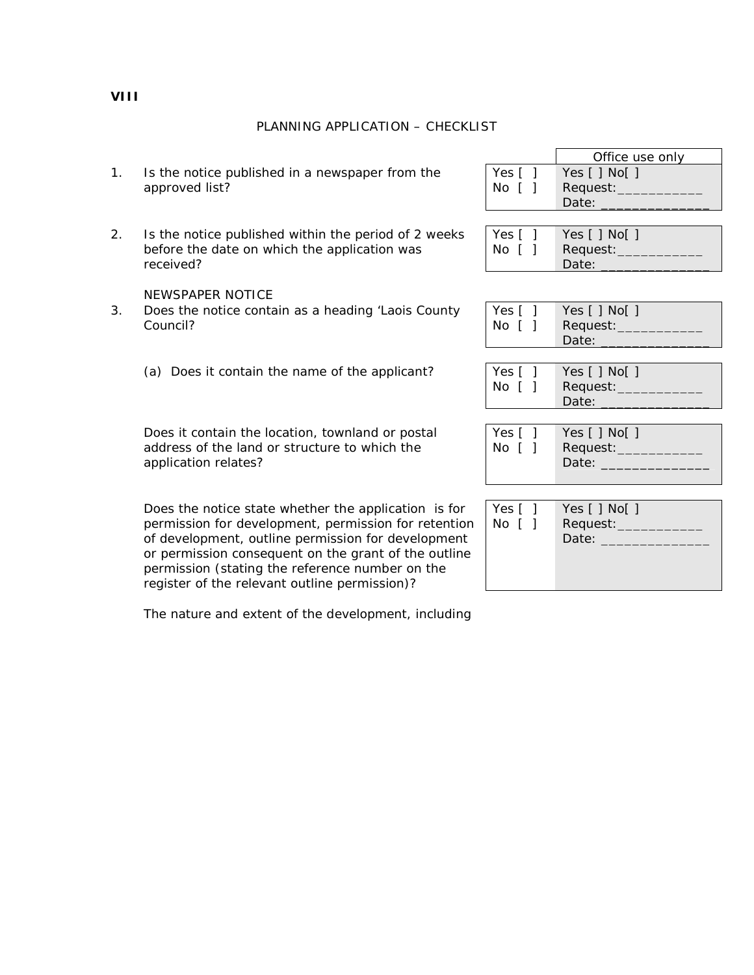PLANNING APPLICATION – CHECKLIST

- 1. Is the notice published in a newspaper from the approved list?
- 2. Is the notice published within the period of 2 weeks before the date on which the application was received?

NEWSPAPER NOTICE

- 3. Does the notice contain as a heading 'Laois County Council?
	- (a) Does it contain the name of the applicant?

Does it contain the location, townland or postal address of the land or structure to which the application relates?

Does the notice state whether the application is for permission for development, permission for retention of development, outline permission for development or permission consequent on the grant of the outline permission (stating the reference number on the register of the relevant outline permission)?

The nature and extent of the development, including

|       | Office use only                                    |
|-------|----------------------------------------------------|
| Yes [ | Yes $\lceil \cdot \rceil$ No $\lceil \cdot \rceil$ |
| No F  | Request:                                           |
|       | Date:                                              |

| Yes [ ] | Yes $\lceil$   No $\lceil$ |
|---------|----------------------------|
| No []   | Request:___                |
|         | Date:                      |

| Yes [ ] | Yes [ ] No[ ] |
|---------|---------------|
| No [ ]  | Request:____  |
|         | Date:         |

| Yes $\lceil$ 1              | Yes $[ ]$ No $[ ]$ |
|-----------------------------|--------------------|
| $\lfloor N_{\odot} \rfloor$ | Request:           |
|                             | Date:              |

| Yes [ ]<br>No [ ] | Yes $[ ]$ No $[ ]$<br>Request: ___<br>Date: |
|-------------------|---------------------------------------------|
|                   |                                             |

| Yes [ ]<br>$No$ $\lceil$ $\rceil$ | Yes $[ ]$ No $[ ]$<br>Request:<br>Date: |
|-----------------------------------|-----------------------------------------|
|                                   |                                         |

**VIII**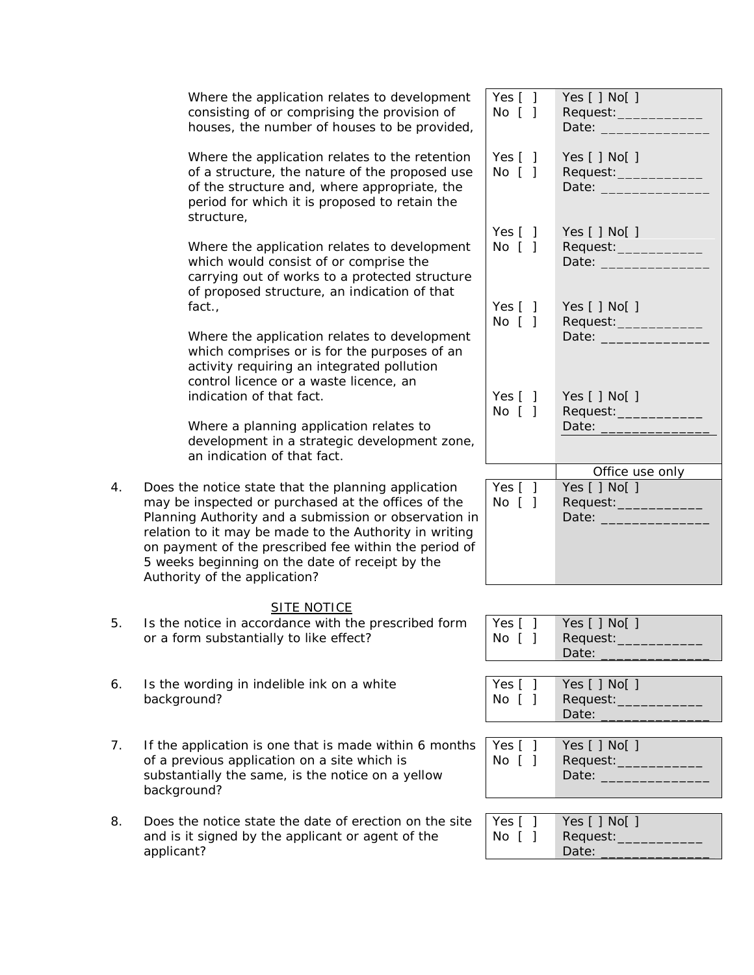|    | Where the application relates to development<br>consisting of or comprising the provision of<br>houses, the number of houses to be provided,                                                                                                                                                                                                                               | Yes $[ ]$<br>No [ ]       | Yes $[ ]$ No $[ ]$<br>Request: ___________<br>Date: _____________        |
|----|----------------------------------------------------------------------------------------------------------------------------------------------------------------------------------------------------------------------------------------------------------------------------------------------------------------------------------------------------------------------------|---------------------------|--------------------------------------------------------------------------|
|    | Where the application relates to the retention<br>of a structure, the nature of the proposed use<br>of the structure and, where appropriate, the<br>period for which it is proposed to retain the<br>structure,                                                                                                                                                            | Yes $[ ]$<br>$No$ $[$ $]$ | Yes $[ ]$ No $[ ]$<br>Date: _____________                                |
|    | Where the application relates to development<br>which would consist of or comprise the<br>carrying out of works to a protected structure<br>of proposed structure, an indication of that                                                                                                                                                                                   | Yes $[ ]$<br>No [ ]       | Yes $[ ]$ No $[ ]$<br>Request:__________<br>Date: ______________         |
|    | fact.,<br>Where the application relates to development<br>which comprises or is for the purposes of an<br>activity requiring an integrated pollution                                                                                                                                                                                                                       | Yes $[ ]$<br>No [ ]       | Yes $[ ]$ No $[ ]$<br>Request: ___________<br>Date: ____________         |
|    | control licence or a waste licence, an<br>indication of that fact.<br>Where a planning application relates to                                                                                                                                                                                                                                                              | Yes $[ ]$<br>No [ ]       | Yes $[ ]$ No $[ ]$<br>Date: Date:                                        |
|    | development in a strategic development zone,<br>an indication of that fact.                                                                                                                                                                                                                                                                                                |                           | Office use only                                                          |
| 4. | Does the notice state that the planning application<br>may be inspected or purchased at the offices of the<br>Planning Authority and a submission or observation in<br>relation to it may be made to the Authority in writing<br>on payment of the prescribed fee within the period of<br>5 weeks beginning on the date of receipt by the<br>Authority of the application? | Yes [ ]<br>No [ ]         | Yes [ ] No[ ]<br>Request: __________<br>Date: <u>New York: New York:</u> |
|    | <b>SITE NOTICE</b>                                                                                                                                                                                                                                                                                                                                                         |                           |                                                                          |
| 5. | Is the notice in accordance with the prescribed form<br>or a form substantially to like effect?                                                                                                                                                                                                                                                                            | Yes $[ ]$<br>No [ ]       | Yes [ ] No[ ]<br>Request: __________<br>Date:                            |
| 6. | Is the wording in indelible ink on a white<br>background?                                                                                                                                                                                                                                                                                                                  | Yes $[ ]$<br>No [ ]       | Yes [ ] No[ ]<br>Request: _____________<br>Date:                         |
| 7. | If the application is one that is made within 6 months<br>of a previous application on a site which is<br>substantially the same, is the notice on a yellow<br>background?                                                                                                                                                                                                 | Yes $[ ]$<br>No [ ]       | Yes $[ ]$ No $[ ]$<br>Request: _____________                             |
| 8. | Does the notice state the date of erection on the site<br>and is it signed by the applicant or agent of the<br>applicant?                                                                                                                                                                                                                                                  | Yes [ ]<br>No [ ]         | Yes [ ] No[ ]<br>Request: _____________<br>Date:                         |
|    |                                                                                                                                                                                                                                                                                                                                                                            |                           |                                                                          |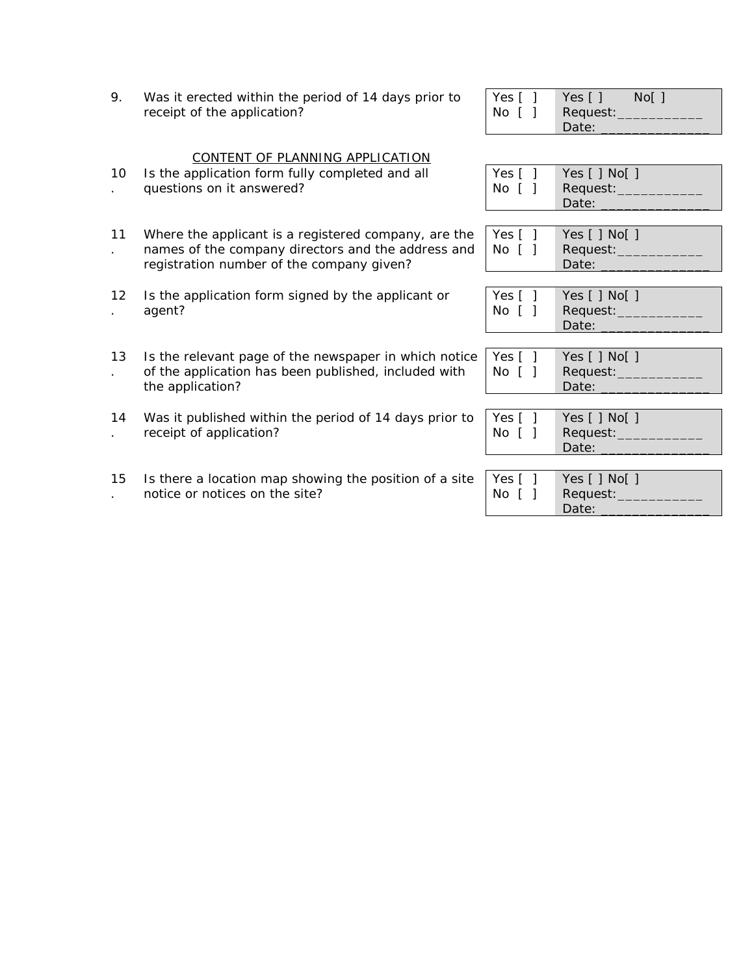| 9. | Was it erected within the period of 14 days prior to |  |
|----|------------------------------------------------------|--|
|    | receipt of the application?                          |  |

| Yes [ | Yes [ ]  | $Nof$ ] |
|-------|----------|---------|
| No [  | Request: |         |
|       | Date:    |         |

## CONTENT OF PLANNING APPLICATION

- 10 Is the application form fully completed and all
- . questions on it answered?
- 11 . Where the applicant is a registered company, are the names of the company directors and the address and registration number of the company given?
- 12 . Is the application form signed by the applicant or agent?
- 13 . Is the relevant page of the newspaper in which notice of the application has been published, included with the application?
- 14 Was it published within the period of 14 days prior to . receipt of application?
- 15 . Is there a location map showing the position of a site notice or notices on the site?

| Yes [ ] | Yes $[ ]$ No $[ ]$ |
|---------|--------------------|
| No ſ    | Request:_          |
|         | Date:              |

| Yes $\lceil$ 1         | Yes $[ ]$ No $[ ]$ |
|------------------------|--------------------|
| $No$ $\lceil$ $\rceil$ | Request:_          |
|                        | Date:              |

| Yes $\lceil \ \rceil$ | Yes [ ] No[ ] |
|-----------------------|---------------|
| No f                  | Request:__    |
|                       | Date:         |

| Yes [ ]               | Yes $\lceil \cdot \rceil$ No $\lceil \cdot \rceil$ |
|-----------------------|----------------------------------------------------|
| $\sqrt{N}$ $\sqrt{1}$ | Request:                                           |
|                       | Date:                                              |

| Yes [ ]<br>No [ | Yes $[ ]$ No $[ ]$<br>Request: __<br>Date: |
|-----------------|--------------------------------------------|
|                 |                                            |

| Yes $\lceil$ 1 | Yes $[ ]$ No $[ ]$ |
|----------------|--------------------|
| No ſ           | Request:           |
|                | Date:              |